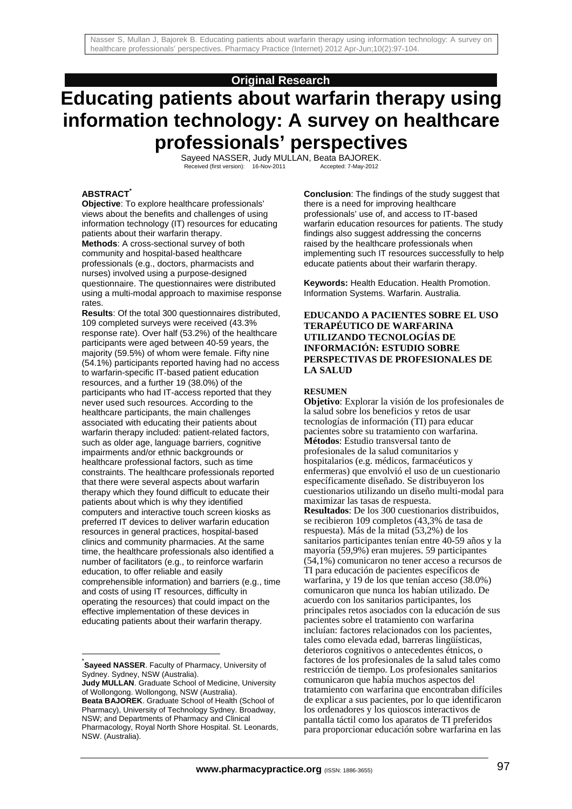# **Original Research**

# **Educating patients about warfarin therapy using information technology: A survey on healthcare professionals' perspectives**

Sayeed NASSER, Judy MULLAN, Beata BAJOREK.<br>Received (first version): 16-Nov-2011 Accepted: 7-May-2012

#### **ABSTRACT\***

**Objective**: To explore healthcare professionals' views about the benefits and challenges of using information technology (IT) resources for educating patients about their warfarin therapy. **Methods**: A cross-sectional survey of both community and hospital-based healthcare professionals (e.g., doctors, pharmacists and nurses) involved using a purpose-designed questionnaire. The questionnaires were distributed using a multi-modal approach to maximise response rates.

**Results**: Of the total 300 questionnaires distributed, 109 completed surveys were received (43.3% response rate). Over half (53.2%) of the healthcare participants were aged between 40-59 years, the majority (59.5%) of whom were female. Fifty nine (54.1%) participants reported having had no access to warfarin-specific IT-based patient education resources, and a further 19 (38.0%) of the participants who had IT-access reported that they never used such resources. According to the healthcare participants, the main challenges associated with educating their patients about warfarin therapy included: patient-related factors, such as older age, language barriers, cognitive impairments and/or ethnic backgrounds or healthcare professional factors, such as time constraints. The healthcare professionals reported that there were several aspects about warfarin therapy which they found difficult to educate their patients about which is why they identified computers and interactive touch screen kiosks as preferred IT devices to deliver warfarin education resources in general practices, hospital-based clinics and community pharmacies. At the same time, the healthcare professionals also identified a number of facilitators (e.g., to reinforce warfarin education, to offer reliable and easily comprehensible information) and barriers (e.g., time and costs of using IT resources, difficulty in operating the resources) that could impact on the effective implementation of these devices in educating patients about their warfarin therapy.

l

**Conclusion**: The findings of the study suggest that there is a need for improving healthcare professionals' use of, and access to IT-based warfarin education resources for patients. The study findings also suggest addressing the concerns raised by the healthcare professionals when implementing such IT resources successfully to help educate patients about their warfarin therapy.

**Keywords:** Health Education. Health Promotion. Information Systems. Warfarin. Australia.

### **EDUCANDO A PACIENTES SOBRE EL USO TERAPÉUTICO DE WARFARINA UTILIZANDO TECNOLOGÍAS DE INFORMACIÓN: ESTUDIO SOBRE PERSPECTIVAS DE PROFESIONALES DE LA SALUD**

#### **RESUMEN**

**Objetivo**: Explorar la visión de los profesionales de la salud sobre los beneficios y retos de usar tecnologías de información (TI) para educar pacientes sobre su tratamiento con warfarina. **Métodos**: Estudio transversal tanto de profesionales de la salud comunitarios y hospitalarios (e.g. médicos, farmacéuticos y enfermeras) que envolvió el uso de un cuestionario específicamente diseñado. Se distribuyeron los cuestionarios utilizando un diseño multi-modal para maximizar las tasas de respuesta. **Resultados**: De los 300 cuestionarios distribuidos, se recibieron 109 completos (43,3% de tasa de respuesta). Más de la mitad (53,2%) de los sanitarios participantes tenían entre 40-59 años y la mayoría (59,9%) eran mujeres. 59 participantes (54,1%) comunicaron no tener acceso a recursos de TI para educación de pacientes específicos de warfarina, y 19 de los que tenían acceso (38.0%) comunicaron que nunca los habían utilizado. De acuerdo con los sanitarios participantes, los principales retos asociados con la educación de sus pacientes sobre el tratamiento con warfarina incluían: factores relacionados con los pacientes, tales como elevada edad, barreras lingüísticas, deterioros cognitivos o antecedentes étnicos, o factores de los profesionales de la salud tales como restricción de tiempo. Los profesionales sanitarios comunicaron que había muchos aspectos del tratamiento con warfarina que encontraban difíciles de explicar a sus pacientes, por lo que identificaron los ordenadores y los quioscos interactivos de pantalla táctil como los aparatos de TI preferidos para proporcionar educación sobre warfarina en las

<sup>\*</sup> **Sayeed NASSER**. Faculty of Pharmacy, University of Sydney. Sydney, NSW (Australia).

**Judy MULLAN**. Graduate School of Medicine, University of Wollongong. Wollongong, NSW (Australia). **Beata BAJOREK**. Graduate School of Health (School of Pharmacy), University of Technology Sydney. Broadway, NSW; and Departments of Pharmacy and Clinical Pharmacology, Royal North Shore Hospital. St. Leonards, NSW. (Australia).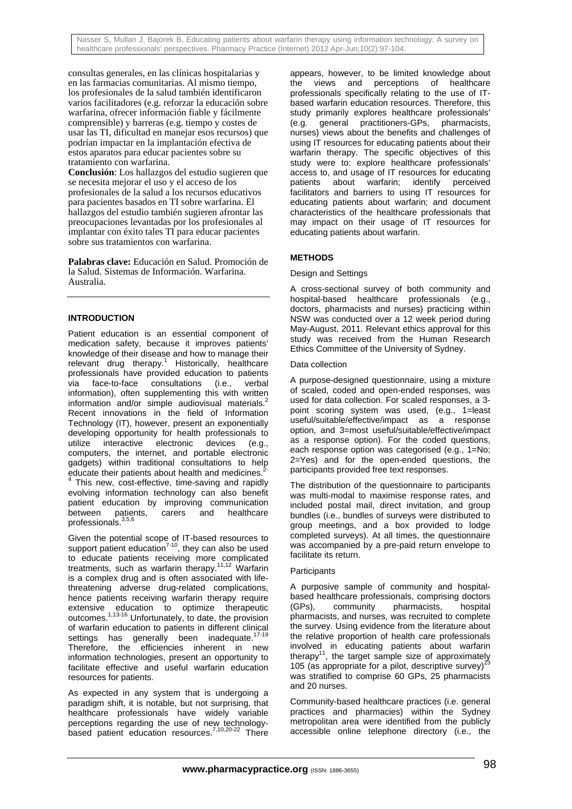Nasser S, Mullan J, Bajorek B. Educating patients about warfarin therapy using information technology: A survey on healthcare professionals' perspectives. Pharmacy Practice (Internet) 2012 Apr-Jun;10(2):97-104.

consultas generales, en las clínicas hospitalarias y en las farmacias comunitarias. Al mismo tiempo, los profesionales de la salud también identificaron varios facilitadores (e.g. reforzar la educación sobre warfarina, ofrecer información fiable y fácilmente comprensible) y barreras (e.g. tiempo y costes de usar las TI, dificultad en manejar esos recursos) que podrían impactar en la implantación efectiva de estos aparatos para educar pacientes sobre su tratamiento con warfarina.

**Conclusión**: Los hallazgos del estudio sugieren que se necesita mejorar el uso y el acceso de los profesionales de la salud a los recursos educativos para pacientes basados en TI sobre warfarina. El hallazgos del estudio también sugieren afrontar las preocupaciones levantadas por los profesionales al implantar con éxito tales TI para educar pacientes sobre sus tratamientos con warfarina.

**Palabras clave:** Educación en Salud. Promoción de la Salud. Sistemas de Información. Warfarina. Australia.

# **INTRODUCTION**

Patient education is an essential component of medication safety, because it improves patients' knowledge of their disease and how to manage their relevant drug therapy.<sup>1</sup> Historically, healthcare professionals have provided education to patients via face-to-face consultations (i.e., verbal information), often supplementing this with written information and/or simple audiovisual materials.<sup>2</sup> Recent innovations in the field of Information Technology (IT), however, present an exponentially developing opportunity for health professionals to utilize interactive electronic devices (e.g., computers, the internet, and portable electronic gadgets) within traditional consultations to help educate their patients about health and medicines.<sup>2-</sup><br> $4$  This new cost effective, time coving and repidu

 This new, cost-effective, time-saving and rapidly evolving information technology can also benefit patient education by improving communication<br>between patients, carers and healthcare carers and healthcare professionals.3,5,6

Given the potential scope of IT-based resources to support patient education<sup>7-10</sup>, they can also be used to educate patients receiving more complicated treatments, such as warfarin therapy.<sup>11,12</sup> Warfarin is a complex drug and is often associated with lifethreatening adverse drug-related complications, hence patients receiving warfarin therapy require extensive education to optimize therapeutic outcomes.<sup>1,13-16</sup> Unfortunately, to date, the provision of warfarin education to patients in different clinical settings has generally been inadequate.<sup>1</sup> Therefore, the efficiencies inherent in new information technologies, present an opportunity to facilitate effective and useful warfarin education resources for patients.

As expected in any system that is undergoing a paradigm shift, it is notable, but not surprising, that healthcare professionals have widely variable perceptions regarding the use of new technologybased patient education resources.<sup>7,10,20-22</sup> There

appears, however, to be limited knowledge about the views and perceptions of healthcare professionals specifically relating to the use of ITbased warfarin education resources. Therefore, this study primarily explores healthcare professionals' (e.g. general practitioners-GPs, pharmacists, nurses) views about the benefits and challenges of using IT resources for educating patients about their warfarin therapy. The specific objectives of this study were to: explore healthcare professionals' access to, and usage of IT resources for educating patients about warfarin; identify perceived facilitators and barriers to using IT resources for educating patients about warfarin; and document characteristics of the healthcare professionals that may impact on their usage of IT resources for educating patients about warfarin.

# **METHODS**

# Design and Settings

A cross-sectional survey of both community and hospital-based healthcare professionals (e.g., doctors, pharmacists and nurses) practicing within NSW was conducted over a 12 week period during May-August, 2011. Relevant ethics approval for this study was received from the Human Research Ethics Committee of the University of Sydney.

#### Data collection

A purpose-designed questionnaire, using a mixture of scaled, coded and open-ended responses, was used for data collection. For scaled responses, a 3 point scoring system was used, (e.g., 1=least useful/suitable/effective/impact as a response option, and 3=most useful/suitable/effective/impact as a response option). For the coded questions, each response option was categorised (e.g., 1=No; 2=Yes) and for the open-ended questions, the participants provided free text responses.

The distribution of the questionnaire to participants was multi-modal to maximise response rates, and included postal mail, direct invitation, and group bundles (i.e., bundles of surveys were distributed to group meetings, and a box provided to lodge completed surveys). At all times, the questionnaire was accompanied by a pre-paid return envelope to facilitate its return.

#### **Participants**

A purposive sample of community and hospitalbased healthcare professionals, comprising doctors (GPs), community pharmacists, hospital pharmacists, and nurses, was recruited to complete the survey. Using evidence from the literature about the relative proportion of health care professionals involved in educating patients about warfarin therapy<sup>11</sup>, the target sample size of approximately<br> $\frac{1}{2}$ 105 (as appropriate for a pilot, descriptive survey)<sup>2</sup> was stratified to comprise 60 GPs, 25 pharmacists and 20 nurses.

Community-based healthcare practices (i.e. general practices and pharmacies) within the Sydney metropolitan area were identified from the publicly accessible online telephone directory (i.e., the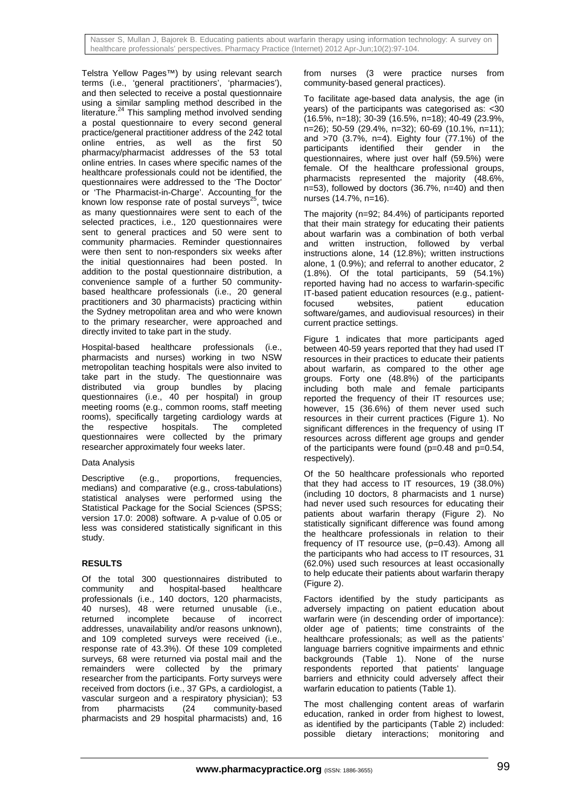Telstra Yellow Pages™) by using relevant search terms (i.e., 'general practitioners', 'pharmacies'), and then selected to receive a postal questionnaire using a similar sampling method described in the literature.24 This sampling method involved sending a postal questionnaire to every second general practice/general practitioner address of the 242 total online entries, as well as the first 50 pharmacy/pharmacist addresses of the 53 total online entries. In cases where specific names of the healthcare professionals could not be identified, the questionnaires were addressed to the 'The Doctor' or 'The Pharmacist-in-Charge'. Accounting for the known low response rate of postal surveys<sup>25</sup>, twice as many questionnaires were sent to each of the selected practices, i.e., 120 questionnaires were sent to general practices and 50 were sent to community pharmacies. Reminder questionnaires were then sent to non-responders six weeks after the initial questionnaires had been posted. In addition to the postal questionnaire distribution, a convenience sample of a further 50 communitybased healthcare professionals (i.e., 20 general practitioners and 30 pharmacists) practicing within the Sydney metropolitan area and who were known to the primary researcher, were approached and directly invited to take part in the study.

Hospital-based healthcare professionals (i.e., pharmacists and nurses) working in two NSW metropolitan teaching hospitals were also invited to take part in the study. The questionnaire was distributed via group bundles by placing questionnaires (i.e., 40 per hospital) in group meeting rooms (e.g., common rooms, staff meeting rooms), specifically targeting cardiology wards at the respective hospitals. The completed questionnaires were collected by the primary researcher approximately four weeks later.

# Data Analysis

Descriptive (e.g., proportions, frequencies, medians) and comparative (e.g., cross-tabulations) statistical analyses were performed using the Statistical Package for the Social Sciences (SPSS; version 17.0: 2008) software. A p-value of 0.05 or less was considered statistically significant in this study.

# **RESULTS**

Of the total 300 questionnaires distributed to community and hospital-based healthcare professionals (i.e., 140 doctors, 120 pharmacists, 40 nurses), 48 were returned unusable (i.e., returned incomplete because of incorrect addresses, unavailability and/or reasons unknown), and 109 completed surveys were received (i.e., response rate of 43.3%). Of these 109 completed surveys, 68 were returned via postal mail and the remainders were collected by the primary researcher from the participants. Forty surveys were received from doctors (i.e., 37 GPs, a cardiologist, a vascular surgeon and a respiratory physician); 53 from pharmacists (24 community-based pharmacists and 29 hospital pharmacists) and, 16

from nurses (3 were practice nurses from community-based general practices).

To facilitate age-based data analysis, the age (in years) of the participants was categorised as: <30 (16.5%, n=18); 30-39 (16.5%, n=18); 40-49 (23.9%, n=26); 50-59 (29.4%, n=32); 60-69 (10.1%, n=11); and >70 (3.7%, n=4). Eighty four (77.1%) of the participants identified their gender in the questionnaires, where just over half (59.5%) were female. Of the healthcare professional groups, pharmacists represented the majority (48.6%, n=53), followed by doctors (36.7%, n=40) and then nurses (14.7%, n=16).

The majority (n=92; 84.4%) of participants reported that their main strategy for educating their patients about warfarin was a combination of both verbal and written instruction, followed by verbal instructions alone, 14 (12.8%); written instructions alone, 1 (0.9%); and referral to another educator, 2 (1.8%). Of the total participants, 59 (54.1%) reported having had no access to warfarin-specific IT-based patient education resources (e.g., patient-<br>focused websites, patient education focused websites, patient education software/games, and audiovisual resources) in their current practice settings.

Figure 1 indicates that more participants aged between 40-59 years reported that they had used IT resources in their practices to educate their patients about warfarin, as compared to the other age groups. Forty one (48.8%) of the participants including both male and female participants reported the frequency of their IT resources use; however, 15 (36.6%) of them never used such resources in their current practices (Figure 1). No significant differences in the frequency of using IT resources across different age groups and gender of the participants were found  $(p=0.48$  and  $p=0.54$ , respectively).

Of the 50 healthcare professionals who reported that they had access to IT resources, 19 (38.0%) (including 10 doctors, 8 pharmacists and 1 nurse) had never used such resources for educating their patients about warfarin therapy (Figure 2). No statistically significant difference was found among the healthcare professionals in relation to their frequency of IT resource use,  $(p=0.43)$ . Among all the participants who had access to IT resources, 31 (62.0%) used such resources at least occasionally to help educate their patients about warfarin therapy (Figure 2).

Factors identified by the study participants as adversely impacting on patient education about warfarin were (in descending order of importance): older age of patients; time constraints of the healthcare professionals; as well as the patients' language barriers cognitive impairments and ethnic backgrounds (Table 1). None of the nurse respondents reported that patients' language barriers and ethnicity could adversely affect their warfarin education to patients (Table 1).

The most challenging content areas of warfarin education, ranked in order from highest to lowest, as identified by the participants (Table 2) included: possible dietary interactions; monitoring and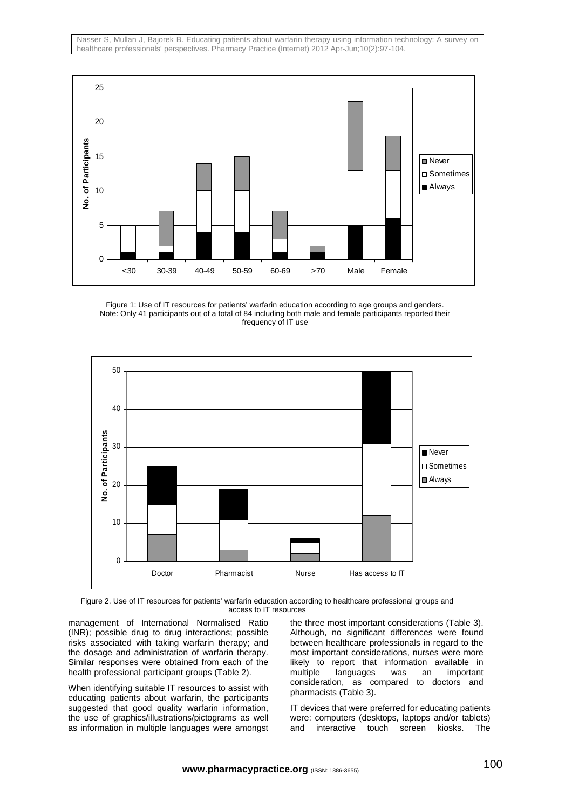

Figure 1: Use of IT resources for patients' warfarin education according to age groups and genders. Note: Only 41 participants out of a total of 84 including both male and female participants reported their frequency of IT use



Figure 2. Use of IT resources for patients' warfarin education according to healthcare professional groups and access to IT resources

management of International Normalised Ratio (INR); possible drug to drug interactions; possible risks associated with taking warfarin therapy; and the dosage and administration of warfarin therapy. Similar responses were obtained from each of the health professional participant groups (Table 2).

When identifying suitable IT resources to assist with educating patients about warfarin, the participants suggested that good quality warfarin information, the use of graphics/illustrations/pictograms as well as information in multiple languages were amongst

the three most important considerations (Table 3). Although, no significant differences were found between healthcare professionals in regard to the most important considerations, nurses were more likely to report that information available in multiple languages was an important consideration, as compared to doctors and pharmacists (Table 3).

IT devices that were preferred for educating patients were: computers (desktops, laptops and/or tablets) and interactive touch screen kiosks. The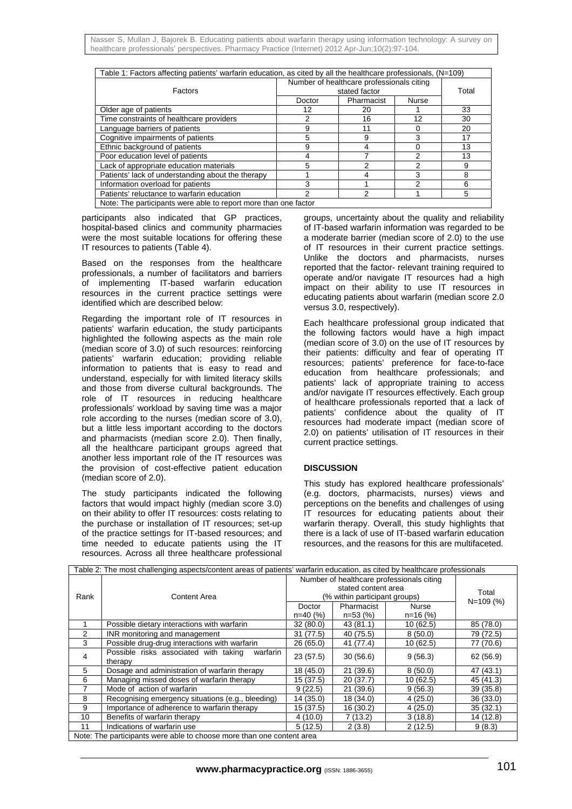| Table 1: Factors affecting patients' warfarin education, as cited by all the healthcare professionals, $(N=109)$ |        |                            |    |       |  |
|------------------------------------------------------------------------------------------------------------------|--------|----------------------------|----|-------|--|
| Number of healthcare professionals citing<br>stated factor<br>Factors                                            |        |                            |    | Total |  |
|                                                                                                                  | Doctor | Pharmacist<br><b>Nurse</b> |    |       |  |
| Older age of patients                                                                                            | 12     | 20                         |    | 33    |  |
| Time constraints of healthcare providers                                                                         | 2      | 16                         | 12 | 30    |  |
| Language barriers of patients                                                                                    | 9      | 11                         | O  | 20    |  |
| Cognitive impairments of patients                                                                                | 5      | 9                          | 3  | 17    |  |
| Ethnic background of patients                                                                                    | 9      |                            | O  | 13    |  |
| Poor education level of patients                                                                                 |        |                            | 2  | 13    |  |
| Lack of appropriate education materials                                                                          | 5      | っ                          | 2  | 9     |  |
| Patients' lack of understanding about the therapy                                                                |        |                            | 3  | 8     |  |
| Information overload for patients                                                                                | 3      |                            | 2  | 6     |  |
| Patients' reluctance to warfarin education                                                                       | 2      |                            |    | 5     |  |
| Note: The participants were able to report more than one factor                                                  |        |                            |    |       |  |

participants also indicated that GP practices, hospital-based clinics and community pharmacies were the most suitable locations for offering these IT resources to patients (Table 4).

Based on the responses from the healthcare professionals, a number of facilitators and barriers of implementing IT-based warfarin education resources in the current practice settings were identified which are described below:

Regarding the important role of IT resources in patients' warfarin education, the study participants highlighted the following aspects as the main role (median score of 3.0) of such resources: reinforcing patients' warfarin education; providing reliable information to patients that is easy to read and understand, especially for with limited literacy skills and those from diverse cultural backgrounds. The role of IT resources in reducing healthcare professionals' workload by saving time was a major role according to the nurses (median score of 3.0), but a little less important according to the doctors and pharmacists (median score 2.0). Then finally, all the healthcare participant groups agreed that another less important role of the IT resources was the provision of cost-effective patient education (median score of 2.0).

The study participants indicated the following factors that would impact highly (median score 3.0) on their ability to offer IT resources: costs relating to the purchase or installation of IT resources; set-up of the practice settings for IT-based resources; and time needed to educate patients using the IT resources. Across all three healthcare professional groups, uncertainty about the quality and reliability of IT-based warfarin information was regarded to be a moderate barrier (median score of 2.0) to the use of IT resources in their current practice settings. Unlike the doctors and pharmacists, nurses reported that the factor- relevant training required to operate and/or navigate IT resources had a high impact on their ability to use IT resources in educating patients about warfarin (median score 2.0 versus 3.0, respectively).

Each healthcare professional group indicated that the following factors would have a high impact (median score of 3.0) on the use of IT resources by their patients: difficulty and fear of operating IT resources; patients' preference for face-to-face education from healthcare professionals; and patients' lack of appropriate training to access and/or navigate IT resources effectively. Each group of healthcare professionals reported that a lack of patients' confidence about the quality of IT resources had moderate impact (median score of 2.0) on patients' utilisation of IT resources in their current practice settings.

# **DISCUSSION**

This study has explored healthcare professionals' (e.g. doctors, pharmacists, nurses) views and perceptions on the benefits and challenges of using IT resources for educating patients about their warfarin therapy. Overall, this study highlights that there is a lack of use of IT-based warfarin education resources, and the reasons for this are multifaceted.

| Table 2: The most challenging aspects/content areas of patients' warfarin education, as cited by healthcare professionals |                                                              |                                           |                        |            |           |
|---------------------------------------------------------------------------------------------------------------------------|--------------------------------------------------------------|-------------------------------------------|------------------------|------------|-----------|
|                                                                                                                           | Content Area                                                 | Number of healthcare professionals citing | Total<br>$N = 109$ (%) |            |           |
| Rank                                                                                                                      |                                                              | (% within participant groups)             |                        |            |           |
|                                                                                                                           |                                                              |                                           |                        |            |           |
|                                                                                                                           |                                                              | Doctor                                    | Pharmacist             | Nurse      |           |
|                                                                                                                           |                                                              | $n=40(%)$                                 | n=53 (%)               | $n=16$ (%) |           |
|                                                                                                                           | Possible dietary interactions with warfarin                  | 32(80.0)                                  | 43 (81.1)              | 10(62.5)   | 85 (78.0) |
| 2                                                                                                                         | INR monitoring and management                                | 31(77.5)                                  | 40 (75.5)              | 8(50.0)    | 79 (72.5) |
| 3                                                                                                                         | Possible drug-drug interactions with warfarin                | 26(65.0)                                  | 41 (77.4)              | 10(62.5)   | 77 (70.6) |
| 4                                                                                                                         | Possible risks associated with taking<br>warfarin<br>therapy | 23(57.5)                                  | 30(56.6)               | 9(56.3)    | 62 (56.9) |
| 5                                                                                                                         | Dosage and administration of warfarin therapy                | 18 (45.0)                                 | 21(39.6)               | 8(50.0)    | 47 (43.1) |
| 6                                                                                                                         | Managing missed doses of warfarin therapy                    | 15(37.5)                                  | 20(37.7)               | 10(62.5)   | 45 (41.3) |
|                                                                                                                           | Mode of action of warfarin                                   | 9(22.5)                                   | 21(39.6)               | 9(56.3)    | 39(35.8)  |
| 8                                                                                                                         | Recognising emergency situations (e.g., bleeding)            | 14 (35.0)                                 | 18 (34.0)              | 4(25.0)    | 36(33.0)  |
| 9                                                                                                                         | Importance of adherence to warfarin therapy                  | 15(37.5)                                  | 16 (30.2)              | 4(25.0)    | 35(32.1)  |
| 10                                                                                                                        | Benefits of warfarin therapy                                 | 4(10.0)                                   | 7(13.2)                | 3(18.8)    | 14 (12.8) |
| 11                                                                                                                        | Indications of warfarin use                                  | 5(12.5)                                   | 2(3.8)                 | 2(12.5)    | 9(8.3)    |
| Note: The participants were able to choose more than one content area                                                     |                                                              |                                           |                        |            |           |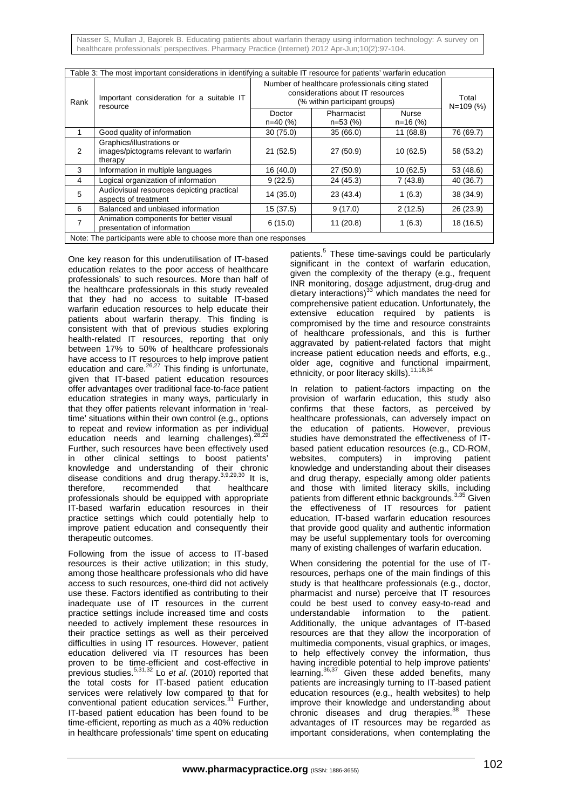Nasser S, Mullan J, Bajorek B. Educating patients about warfarin therapy using information technology: A survey on healthcare professionals' perspectives. Pharmacy Practice (Internet) 2012 Apr-Jun;10(2):97-104.

| Table 3: The most important considerations in identifying a suitable IT resource for patients' warfarin education |                                                                                |                                                                                                                        |                         |                     |           |  |
|-------------------------------------------------------------------------------------------------------------------|--------------------------------------------------------------------------------|------------------------------------------------------------------------------------------------------------------------|-------------------------|---------------------|-----------|--|
| Rank                                                                                                              | Important consideration for a suitable IT<br>resource                          | Number of healthcare professionals citing stated<br>considerations about IT resources<br>(% within participant groups) | Total<br>$N = 109(%$    |                     |           |  |
|                                                                                                                   |                                                                                | Doctor<br>n=40 (%)                                                                                                     | Pharmacist<br>$n=53(%)$ | Nurse<br>$n=16$ (%) |           |  |
| 1                                                                                                                 | Good quality of information                                                    | 30(75.0)                                                                                                               | 35(66.0)                | 11(68.8)            | 76 (69.7) |  |
| 2                                                                                                                 | Graphics/illustrations or<br>images/pictograms relevant to warfarin<br>therapy | 21(52.5)                                                                                                               | 27 (50.9)               | 10(62.5)            | 58 (53.2) |  |
| 3                                                                                                                 | Information in multiple languages                                              | 16 (40.0)                                                                                                              | 27 (50.9)               | 10(62.5)            | 53(48.6)  |  |
| 4                                                                                                                 | Logical organization of information                                            | 9(22.5)                                                                                                                | 24 (45.3)               | 7(43.8)             | 40 (36.7) |  |
| 5                                                                                                                 | Audiovisual resources depicting practical<br>aspects of treatment              | 14 (35.0)                                                                                                              | 23 (43.4)               | 1(6.3)              | 38 (34.9) |  |
| 6                                                                                                                 | Balanced and unbiased information                                              | 15(37.5)                                                                                                               | 9(17.0)                 | 2(12.5)             | 26(23.9)  |  |
| 7                                                                                                                 | Animation components for better visual<br>presentation of information          | 6(15.0)                                                                                                                | 11(20.8)                | 1(6.3)              | 18 (16.5) |  |
| Note: The participants were able to choose more than one responses                                                |                                                                                |                                                                                                                        |                         |                     |           |  |

One key reason for this underutilisation of IT-based education relates to the poor access of healthcare professionals' to such resources. More than half of the healthcare professionals in this study revealed that they had no access to suitable IT-based warfarin education resources to help educate their patients about warfarin therapy. This finding is consistent with that of previous studies exploring health-related IT resources, reporting that only between 17% to 50% of healthcare professionals have access to IT resources to help improve patient education and care.<sup>26,27</sup> This finding is unfortunate, given that IT-based patient education resources offer advantages over traditional face-to-face patient education strategies in many ways, particularly in that they offer patients relevant information in 'realtime' situations within their own control (e.g., options to repeat and review information as per individual education needs and learning challenges).<sup>28,29</sup> Further, such resources have been effectively used in other clinical settings to boost patients' knowledge and understanding of their chronic disease conditions and drug therapy.  $3,9,29,30$  It is, therefore, recommended that healthcare professionals should be equipped with appropriate IT-based warfarin education resources in their practice settings which could potentially help to improve patient education and consequently their therapeutic outcomes.

Following from the issue of access to IT-based resources is their active utilization; in this study, among those healthcare professionals who did have access to such resources, one-third did not actively use these. Factors identified as contributing to their inadequate use of IT resources in the current practice settings include increased time and costs needed to actively implement these resources in their practice settings as well as their perceived difficulties in using IT resources. However, patient education delivered via IT resources has been proven to be time-efficient and cost-effective in previous studies.5,31,32 Lo *et al*. (2010) reported that the total costs for IT-based patient education services were relatively low compared to that for conventional patient education services.<sup>31</sup> Further, IT-based patient education has been found to be time-efficient, reporting as much as a 40% reduction in healthcare professionals' time spent on educating

patients.<sup>5</sup> These time-savings could be particularly significant in the context of warfarin education, given the complexity of the therapy (e.g., frequent INR monitoring, dosage adjustment, drug-drug and dietary interactions) $33$  which mandates the need for comprehensive patient education. Unfortunately, the extensive education required by patients is compromised by the time and resource constraints of healthcare professionals, and this is further aggravated by patient-related factors that might increase patient education needs and efforts, e.g., older age, cognitive and functional impairment, ethnicity, or poor literacy skills).<sup>11,18,3</sup>

In relation to patient-factors impacting on the provision of warfarin education, this study also confirms that these factors, as perceived by healthcare professionals, can adversely impact on the education of patients. However, previous studies have demonstrated the effectiveness of ITbased patient education resources (e.g., CD-ROM, websites, computers) in improving patient knowledge and understanding about their diseases and drug therapy, especially among older patients and those with limited literacy skills, including patients from different ethnic backgrounds.<sup>3,35</sup> Given the effectiveness of IT resources for patient education, IT-based warfarin education resources that provide good quality and authentic information may be useful supplementary tools for overcoming many of existing challenges of warfarin education.

When considering the potential for the use of ITresources, perhaps one of the main findings of this study is that healthcare professionals (e.g., doctor, pharmacist and nurse) perceive that IT resources could be best used to convey easy-to-read and understandable information to the patient. Additionally, the unique advantages of IT-based resources are that they allow the incorporation of multimedia components, visual graphics, or images, to help effectively convey the information, thus having incredible potential to help improve patients' learning.<sup>36,37</sup> Given these added benefits, many patients are increasingly turning to IT-based patient education resources (e.g., health websites) to help improve their knowledge and understanding about chronic diseases and drug therapies.<sup>38</sup> These advantages of IT resources may be regarded as important considerations, when contemplating the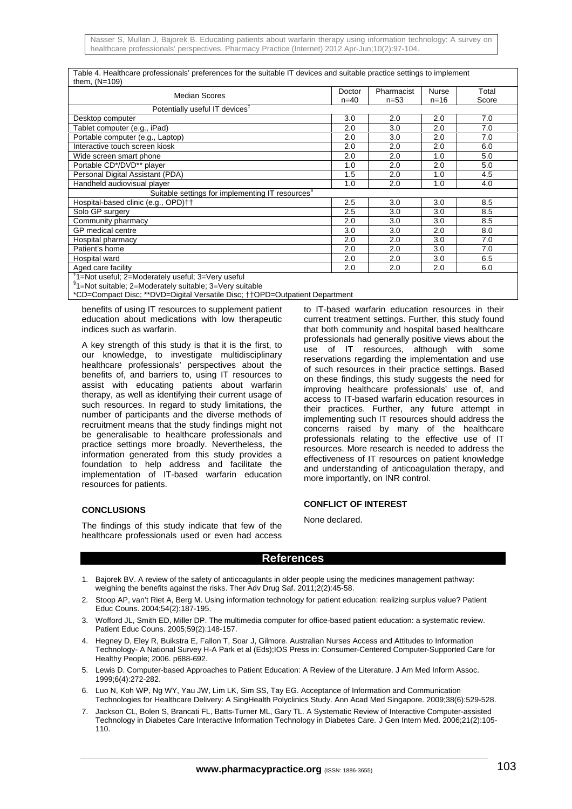| Table 4. Healthcare professionals' preferences for the suitable IT devices and suitable practice settings to implement |  |
|------------------------------------------------------------------------------------------------------------------------|--|
| them, (N=109)                                                                                                          |  |

| <b>Median Scores</b>                                          | Doctor<br>$n = 40$ | Pharmacist | Nurse    | Total |  |
|---------------------------------------------------------------|--------------------|------------|----------|-------|--|
|                                                               |                    | $n = 53$   | $n = 16$ | Score |  |
| Potentially useful IT devices <sup>#</sup>                    |                    |            |          |       |  |
| Desktop computer                                              | 3.0                | 2.0        | 2.0      | 7.0   |  |
| Tablet computer (e.g., iPad)                                  | 2.0                | 3.0        | 2.0      | 7.0   |  |
| Portable computer (e.g., Laptop)                              | 2.0                | 3.0        | 2.0      | 7.0   |  |
| Interactive touch screen kiosk                                | 2.0                | 2.0        | 2.0      | 6.0   |  |
| Wide screen smart phone                                       | 2.0                | 2.0        | 1.0      | 5.0   |  |
| Portable CD*/DVD** player                                     | 1.0                | 2.0        | 2.0      | 5.0   |  |
| Personal Digital Assistant (PDA)                              | 1.5                | 2.0        | 1.0      | 4.5   |  |
| Handheld audiovisual player                                   | 1.0                | 2.0        | 1.0      | 4.0   |  |
| Suitable settings for implementing IT resources <sup>§</sup>  |                    |            |          |       |  |
| Hospital-based clinic (e.g., OPD)††                           | 2.5                | 3.0        | 3.0      | 8.5   |  |
| Solo GP surgery                                               | 2.5                | 3.0        | 3.0      | 8.5   |  |
| Community pharmacy                                            | 2.0                | 3.0        | 3.0      | 8.5   |  |
| GP medical centre                                             | 3.0                | 3.0        | 2.0      | 8.0   |  |
| Hospital pharmacy                                             | 2.0                | 2.0        | 3.0      | 7.0   |  |
| Patient's home                                                | 2.0                | 2.0        | 3.0      | 7.0   |  |
| Hospital ward                                                 | 2.0                | 2.0        | 3.0      | 6.5   |  |
| Aged care facility                                            | 2.0                | 2.0        | 2.0      | 6.0   |  |
| <sup>‡</sup> 1=Not useful; 2=Moderately useful; 3=Very useful |                    |            |          |       |  |

§ 1=Not suitable; 2=Moderately suitable; 3=Very suitable

\*CD=Compact Disc; \*\*DVD=Digital Versatile Disc; ††OPD=Outpatient Department

benefits of using IT resources to supplement patient education about medications with low therapeutic indices such as warfarin.

A key strength of this study is that it is the first, to our knowledge, to investigate multidisciplinary healthcare professionals' perspectives about the benefits of, and barriers to, using IT resources to assist with educating patients about warfarin therapy, as well as identifying their current usage of such resources. In regard to study limitations, the number of participants and the diverse methods of recruitment means that the study findings might not be generalisable to healthcare professionals and practice settings more broadly. Nevertheless, the information generated from this study provides a foundation to help address and facilitate the implementation of IT-based warfarin education resources for patients.

# **CONCLUSIONS**

The findings of this study indicate that few of the healthcare professionals used or even had access

to IT-based warfarin education resources in their current treatment settings. Further, this study found that both community and hospital based healthcare professionals had generally positive views about the use of IT resources, although with some reservations regarding the implementation and use of such resources in their practice settings. Based on these findings, this study suggests the need for improving healthcare professionals' use of, and access to IT-based warfarin education resources in their practices. Further, any future attempt in implementing such IT resources should address the concerns raised by many of the healthcare professionals relating to the effective use of IT resources. More research is needed to address the effectiveness of IT resources on patient knowledge and understanding of anticoagulation therapy, and more importantly, on INR control.

# **CONFLICT OF INTEREST**

None declared.

# **References**

- 1. Bajorek BV. A review of the safety of anticoagulants in older people using the medicines management pathway: weighing the benefits against the risks. Ther Adv Drug Saf. 2011;2(2):45-58.
- 2. Stoop AP, van't Riet A, Berg M. Using information technology for patient education: realizing surplus value? Patient Educ Couns. 2004;54(2):187-195.
- 3. Wofford JL, Smith ED, Miller DP. The multimedia computer for office-based patient education: a systematic review. Patient Educ Couns. 2005;59(2):148-157.
- 4. Hegney D, Eley R, Buikstra E, Fallon T, Soar J, Gilmore. Australian Nurses Access and Attitudes to Information Technology- A National Survey H-A Park et al (Eds);IOS Press in: Consumer-Centered Computer-Supported Care for Healthy People; 2006. p688-692.
- 5. Lewis D. Computer-based Approaches to Patient Education: A Review of the Literature. J Am Med Inform Assoc. 1999;6(4):272-282.
- 6. Luo N, Koh WP, Ng WY, Yau JW, Lim LK, Sim SS, Tay EG. Acceptance of Information and Communication Technologies for Healthcare Delivery: A SingHealth Polyclinics Study. Ann Acad Med Singapore. 2009;38(6):529-528.
- 7. Jackson CL, Bolen S, Brancati FL, Batts-Turner ML, Gary TL. A Systematic Review of Interactive Computer-assisted Technology in Diabetes Care Interactive Information Technology in Diabetes Care. J Gen Intern Med. 2006;21(2):105- 110.